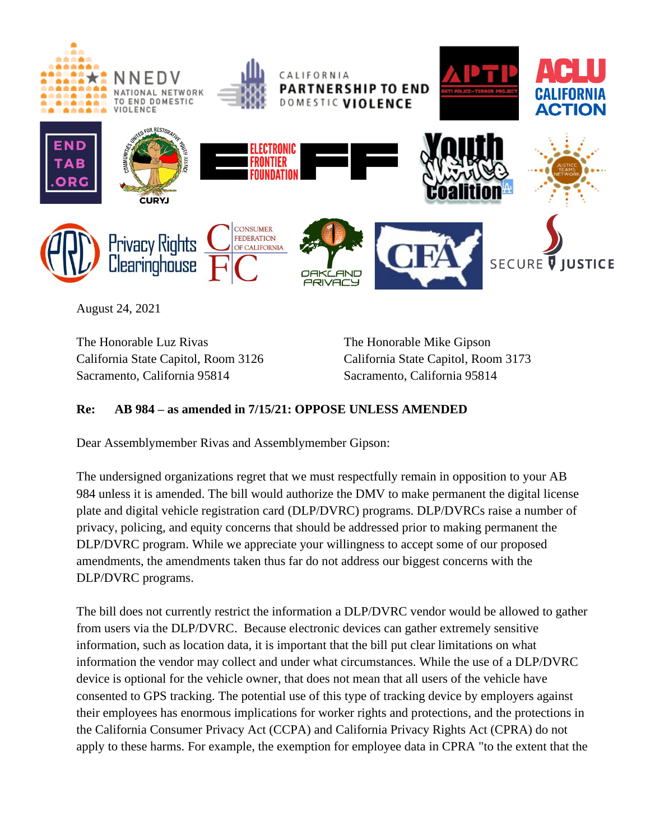

August 24, 2021

The Honorable Luz Rivas California State Capitol, Room 3126 Sacramento, California 95814

The Honorable Mike Gipson California State Capitol, Room 3173 Sacramento, California 95814

## **Re: AB 984 – as amended in 7/15/21: OPPOSE UNLESS AMENDED**

Dear Assemblymember Rivas and Assemblymember Gipson:

The undersigned organizations regret that we must respectfully remain in opposition to your AB 984 unless it is amended. The bill would authorize the DMV to make permanent the digital license plate and digital vehicle registration card (DLP/DVRC) programs. DLP/DVRCs raise a number of privacy, policing, and equity concerns that should be addressed prior to making permanent the DLP/DVRC program. While we appreciate your willingness to accept some of our proposed amendments, the amendments taken thus far do not address our biggest concerns with the DLP/DVRC programs.

The bill does not currently restrict the information a DLP/DVRC vendor would be allowed to gather from users via the DLP/DVRC. Because electronic devices can gather extremely sensitive information, such as location data, it is important that the bill put clear limitations on what information the vendor may collect and under what circumstances. While the use of a DLP/DVRC device is optional for the vehicle owner, that does not mean that all users of the vehicle have consented to GPS tracking. The potential use of this type of tracking device by employers against their employees has enormous implications for worker rights and protections, and the protections in the California Consumer Privacy Act (CCPA) and California Privacy Rights Act (CPRA) do not apply to these harms. For example, the exemption for employee data in CPRA "to the extent that the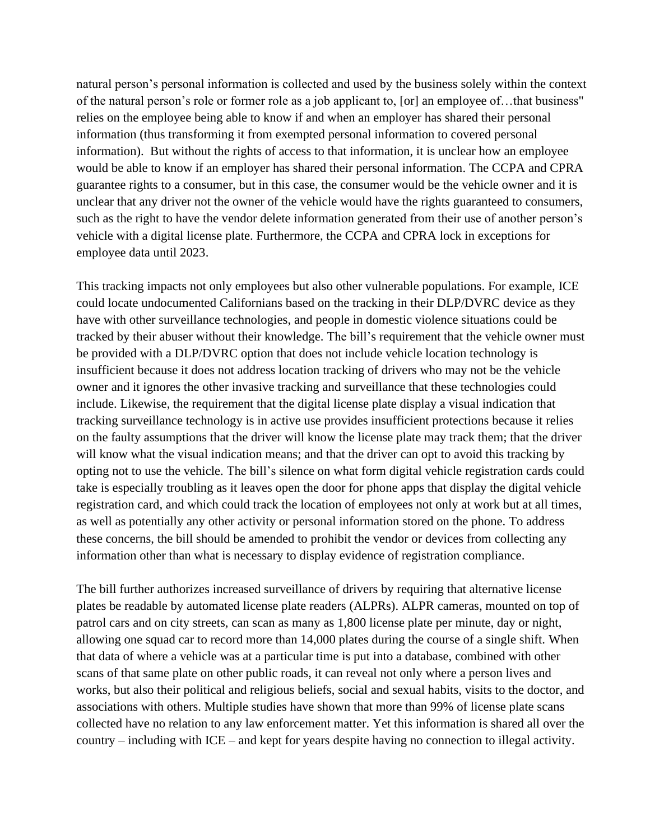natural person's personal information is collected and used by the business solely within the context of the natural person's role or former role as a job applicant to, [or] an employee of…that business" relies on the employee being able to know if and when an employer has shared their personal information (thus transforming it from exempted personal information to covered personal information). But without the rights of access to that information, it is unclear how an employee would be able to know if an employer has shared their personal information. The CCPA and CPRA guarantee rights to a consumer, but in this case, the consumer would be the vehicle owner and it is unclear that any driver not the owner of the vehicle would have the rights guaranteed to consumers, such as the right to have the vendor delete information generated from their use of another person's vehicle with a digital license plate. Furthermore, the CCPA and CPRA lock in exceptions for employee data until 2023.

This tracking impacts not only employees but also other vulnerable populations. For example, ICE could locate undocumented Californians based on the tracking in their DLP/DVRC device as they have with other surveillance technologies, and people in domestic violence situations could be tracked by their abuser without their knowledge. The bill's requirement that the vehicle owner must be provided with a DLP/DVRC option that does not include vehicle location technology is insufficient because it does not address location tracking of drivers who may not be the vehicle owner and it ignores the other invasive tracking and surveillance that these technologies could include. Likewise, the requirement that the digital license plate display a visual indication that tracking surveillance technology is in active use provides insufficient protections because it relies on the faulty assumptions that the driver will know the license plate may track them; that the driver will know what the visual indication means; and that the driver can opt to avoid this tracking by opting not to use the vehicle. The bill's silence on what form digital vehicle registration cards could take is especially troubling as it leaves open the door for phone apps that display the digital vehicle registration card, and which could track the location of employees not only at work but at all times, as well as potentially any other activity or personal information stored on the phone. To address these concerns, the bill should be amended to prohibit the vendor or devices from collecting any information other than what is necessary to display evidence of registration compliance.

The bill further authorizes increased surveillance of drivers by requiring that alternative license plates be readable by automated license plate readers (ALPRs). ALPR cameras, mounted on top of patrol cars and on city streets, can scan as many as 1,800 license plate per minute, day or night, allowing one squad car to record more than 14,000 plates during the course of a single shift. When that data of where a vehicle was at a particular time is put into a database, combined with other scans of that same plate on other public roads, it can reveal not only where a person lives and works, but also their political and religious beliefs, social and sexual habits, visits to the doctor, and associations with others. Multiple studies have shown that more than 99% of license plate scans collected have no relation to any law enforcement matter. Yet this information is shared all over the country – including with ICE – and kept for years despite having no connection to illegal activity.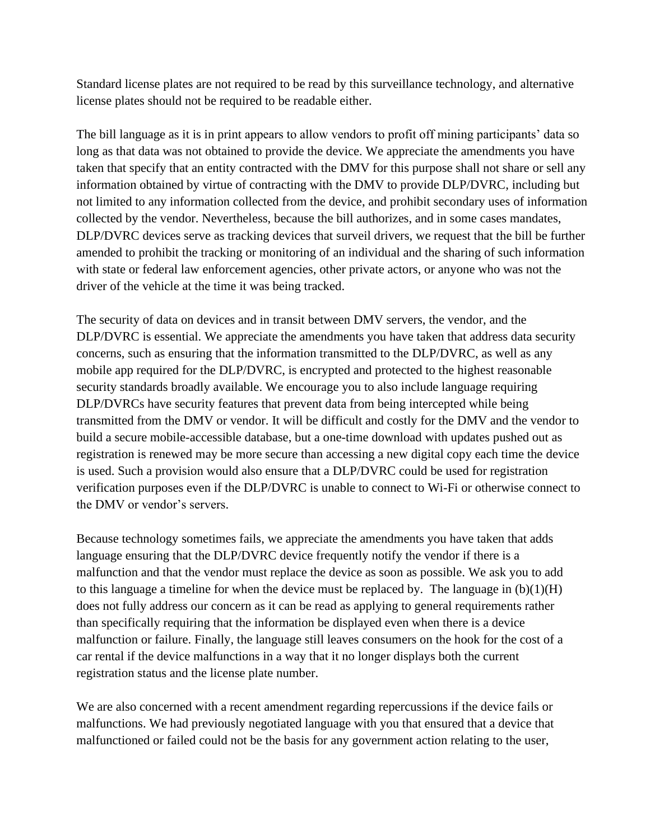Standard license plates are not required to be read by this surveillance technology, and alternative license plates should not be required to be readable either.

The bill language as it is in print appears to allow vendors to profit off mining participants' data so long as that data was not obtained to provide the device. We appreciate the amendments you have taken that specify that an entity contracted with the DMV for this purpose shall not share or sell any information obtained by virtue of contracting with the DMV to provide DLP/DVRC, including but not limited to any information collected from the device, and prohibit secondary uses of information collected by the vendor. Nevertheless, because the bill authorizes, and in some cases mandates, DLP/DVRC devices serve as tracking devices that surveil drivers, we request that the bill be further amended to prohibit the tracking or monitoring of an individual and the sharing of such information with state or federal law enforcement agencies, other private actors, or anyone who was not the driver of the vehicle at the time it was being tracked.

The security of data on devices and in transit between DMV servers, the vendor, and the DLP/DVRC is essential. We appreciate the amendments you have taken that address data security concerns, such as ensuring that the information transmitted to the DLP/DVRC, as well as any mobile app required for the DLP/DVRC, is encrypted and protected to the highest reasonable security standards broadly available. We encourage you to also include language requiring DLP/DVRCs have security features that prevent data from being intercepted while being transmitted from the DMV or vendor. It will be difficult and costly for the DMV and the vendor to build a secure mobile-accessible database, but a one-time download with updates pushed out as registration is renewed may be more secure than accessing a new digital copy each time the device is used. Such a provision would also ensure that a DLP/DVRC could be used for registration verification purposes even if the DLP/DVRC is unable to connect to Wi-Fi or otherwise connect to the DMV or vendor's servers.

Because technology sometimes fails, we appreciate the amendments you have taken that adds language ensuring that the DLP/DVRC device frequently notify the vendor if there is a malfunction and that the vendor must replace the device as soon as possible. We ask you to add to this language a timeline for when the device must be replaced by. The language in  $(b)(1)(H)$ does not fully address our concern as it can be read as applying to general requirements rather than specifically requiring that the information be displayed even when there is a device malfunction or failure. Finally, the language still leaves consumers on the hook for the cost of a car rental if the device malfunctions in a way that it no longer displays both the current registration status and the license plate number.

We are also concerned with a recent amendment regarding repercussions if the device fails or malfunctions. We had previously negotiated language with you that ensured that a device that malfunctioned or failed could not be the basis for any government action relating to the user,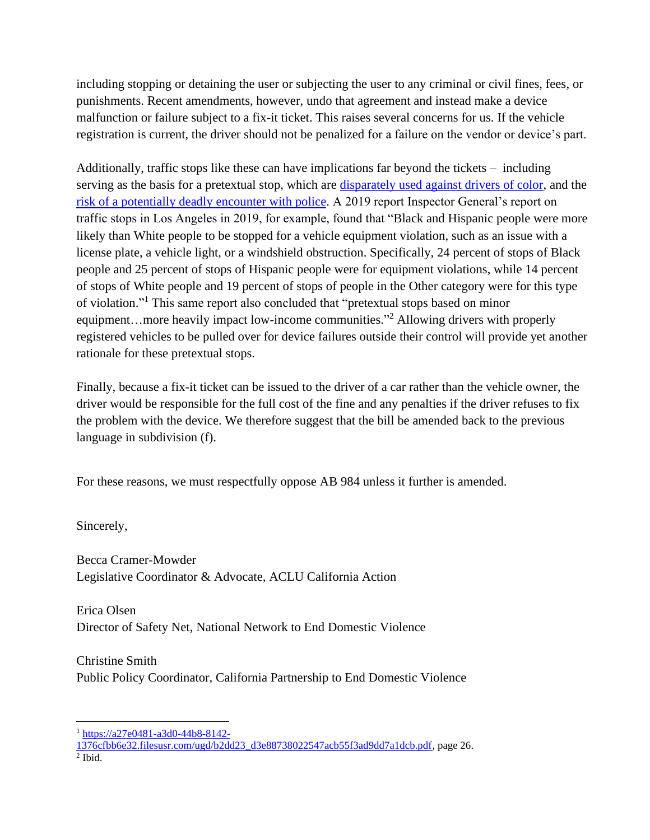including stopping or detaining the user or subjecting the user to any criminal or civil fines, fees, or punishments. Recent amendments, however, undo that agreement and instead make a device malfunction or failure subject to a fix-it ticket. This raises several concerns for us. If the vehicle registration is current, the driver should not be penalized for a failure on the vendor or device's part.

Additionally, traffic stops like these can have implications far beyond the tickets – including serving as the basis for a pretextual stop, which are [disparately used against drivers of color,](https://nam02.safelinks.protection.outlook.com/?url=https%3A%2F%2Flaist.com%2Fnews%2Flapd-traffic-stops-inspector-general-report-racial-disparities&data=04%7C01%7Cbcramer%40acluca.org%7C64866eba2f4946996f6008d931c9c027%7C967a6601223245fbacae4c3038ec6b2e%7C1%7C0%7C637595564864889929%7CUnknown%7CTWFpbGZsb3d8eyJWIjoiMC4wLjAwMDAiLCJQIjoiV2luMzIiLCJBTiI6Ik1haWwiLCJXVCI6Mn0%3D%7C1000&sdata=Twe5vFEvMVTzEM3Zy%2B2b2%2FTjLUrhC9D%2B54ynf2CI34c%3D&reserved=0) and the [risk of a potentially deadly encounter with police.](https://nam02.safelinks.protection.outlook.com/?url=https%3A%2F%2Fwww.washingtonpost.com%2Fopinions%2F2021%2F04%2F16%2Fremove-police-traffic-stops%2F&data=04%7C01%7Cbcramer%40acluca.org%7C64866eba2f4946996f6008d931c9c027%7C967a6601223245fbacae4c3038ec6b2e%7C1%7C0%7C637595564864889929%7CUnknown%7CTWFpbGZsb3d8eyJWIjoiMC4wLjAwMDAiLCJQIjoiV2luMzIiLCJBTiI6Ik1haWwiLCJXVCI6Mn0%3D%7C1000&sdata=uhYgFuV7OheJvVA3IDUIBUyoWQYmqENAZeLtQR7uZAU%3D&reserved=0) A 2019 report Inspector General's report on traffic stops in Los Angeles in 2019, for example, found that "Black and Hispanic people were more likely than White people to be stopped for a vehicle equipment violation, such as an issue with a license plate, a vehicle light, or a windshield obstruction. Specifically, 24 percent of stops of Black people and 25 percent of stops of Hispanic people were for equipment violations, while 14 percent of stops of White people and 19 percent of stops of people in the Other category were for this type of violation." <sup>1</sup> This same report also concluded that "pretextual stops based on minor equipment...more heavily impact low-income communities."<sup>2</sup> Allowing drivers with properly registered vehicles to be pulled over for device failures outside their control will provide yet another rationale for these pretextual stops.

Finally, because a fix-it ticket can be issued to the driver of a car rather than the vehicle owner, the driver would be responsible for the full cost of the fine and any penalties if the driver refuses to fix the problem with the device. We therefore suggest that the bill be amended back to the previous language in subdivision (f).

For these reasons, we must respectfully oppose AB 984 unless it further is amended.

Sincerely,

Becca Cramer-Mowder Legislative Coordinator & Advocate, ACLU California Action

Erica Olsen Director of Safety Net, National Network to End Domestic Violence

Christine Smith Public Policy Coordinator, California Partnership to End Domestic Violence

<sup>1</sup> [https://a27e0481-a3d0-44b8-8142-](https://a27e0481-a3d0-44b8-8142-1376cfbb6e32.filesusr.com/ugd/b2dd23_d3e88738022547acb55f3ad9dd7a1dcb.pdf)

[<sup>1376</sup>cfbb6e32.filesusr.com/ugd/b2dd23\\_d3e88738022547acb55f3ad9dd7a1dcb.pdf,](https://a27e0481-a3d0-44b8-8142-1376cfbb6e32.filesusr.com/ugd/b2dd23_d3e88738022547acb55f3ad9dd7a1dcb.pdf) page 26.  $<sup>2</sup>$  Ibid.</sup>